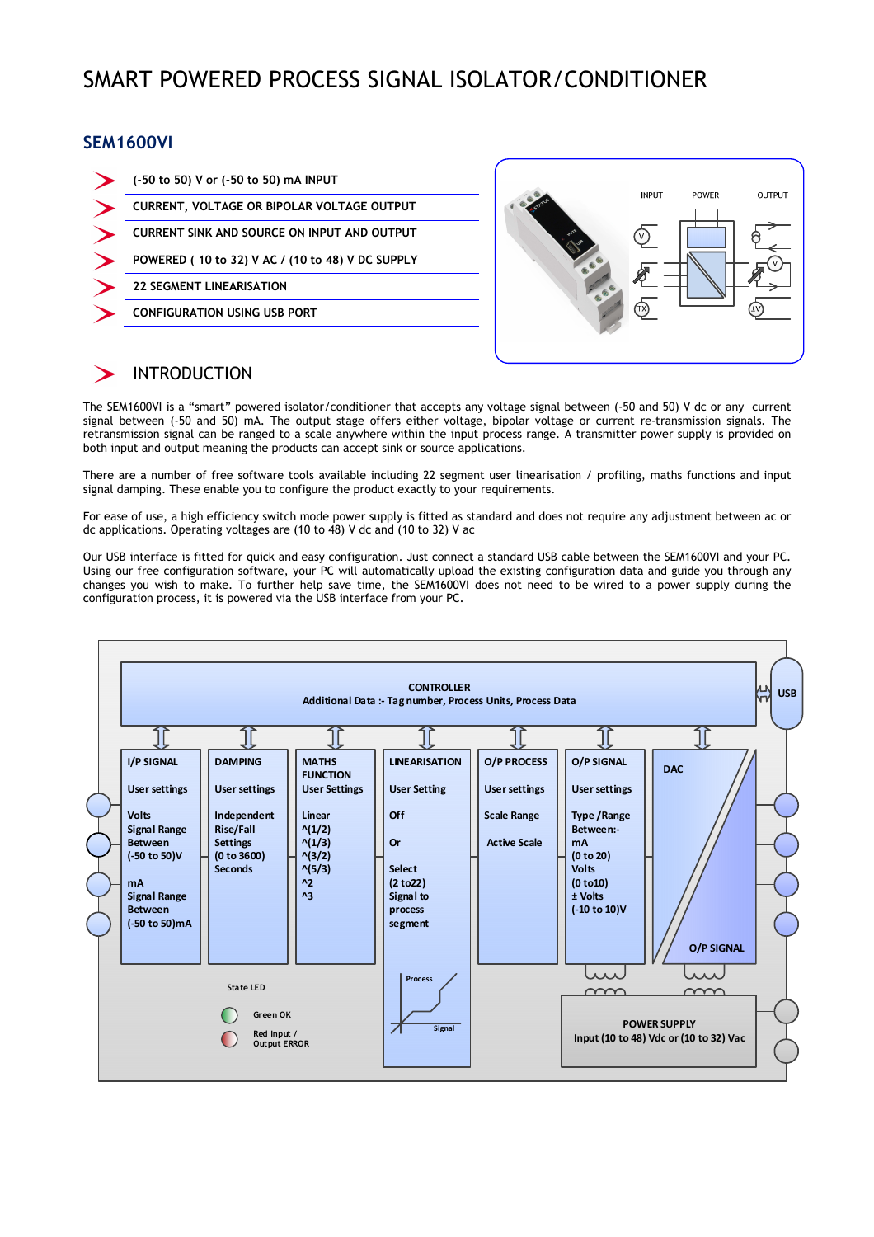#### **SEM1600VI**

| (-50 to 50) V or (-50 to 50) mA INPUT             |
|---------------------------------------------------|
| <b>CURRENT, VOLTAGE OR BIPOLAR VOLTAGE OUTPUT</b> |
| CURRENT SINK AND SOURCE ON INPUT AND OUTPUT       |
| POWERED (10 to 32) V AC / (10 to 48) V DC SUPPLY  |
| <b>22 SEGMENT LINEARISATION</b>                   |
| <b>CONFIGURATION USING USB PORT</b>               |



### INTRODUCTION

The SEM1600VI is a "smart" powered isolator/conditioner that accepts any voltage signal between (-50 and 50) V dc or any current signal between (-50 and 50) mA. The output stage offers either voltage, bipolar voltage or current re-transmission signals. The retransmission signal can be ranged to a scale anywhere within the input process range. A transmitter power supply is provided on both input and output meaning the products can accept sink or source applications.

There are a number of free software tools available including 22 segment user linearisation / profiling, maths functions and input signal damping. These enable you to configure the product exactly to your requirements.

For ease of use, a high efficiency switch mode power supply is fitted as standard and does not require any adjustment between ac or dc applications. Operating voltages are (10 to 48) V dc and (10 to 32) V ac

Our USB interface is fitted for quick and easy configuration. Just connect a standard USB cable between the SEM1600VI and your PC. Using our free configuration software, your PC will automatically upload the existing configuration data and guide you through any changes you wish to make. To further help save time, the SEM1600VI does not need to be wired to a power supply during the configuration process, it is powered via the USB interface from your PC.